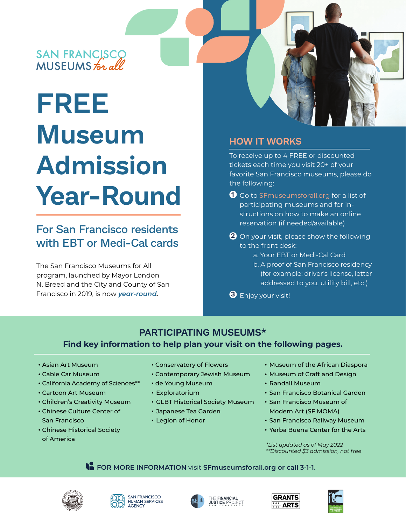# SAN FRANCISCO<br>MUSEUMS for all

# **FREE Museum Admission Year-Round**

## For San Francisco residents with EBT or Medi-Cal cards

The San Francisco Museums for All program, launched by Mayor London N. Breed and the City and County of San Francisco in 2019, is now *year-round.*

### **HOW IT WORKS**

To receive up to 4 FREE or discounted tickets each time you visit 20+ of your favorite San Francisco museums, please do the following:

- **1** Go to SFmuseumsforall.org for a list of participating museums and for instructions on how to make an online reservation (if needed/available)
- On your visit, please show the following **2** to the front desk:
	- a. Your EBT or Medi-Cal Card
	- b. A proof of San Francisco residency (for example: driver's license, letter addressed to you, utility bill, etc.)
- Enjoy your visit! **3**

### **PARTICIPATING MUSEUMS\* Find key information to help plan your visit on the following pages.**

- Asian Art Museum
- Cable Car Museum
- California Academy of Sciences\*\*
- Cartoon Art Museum
- Children's Creativity Museum
- Chinese Culture Center of San Francisco
- Chinese Historical Society of America
- Conservatory of Flowers
- Contemporary Jewish Museum
- de Young Museum
- Exploratorium
- GLBT Historical Society Museum
- Japanese Tea Garden
- Legion of Honor
- Museum of the African Diaspora
- Museum of Craft and Design
- Randall Museum
- San Francisco Botanical Garden
- San Francisco Museum of Modern Art (SF MOMA)
- San Francisco Railway Museum
- Yerba Buena Center for the Arts

*\*List updated as of May 2022 \*\*Discounted \$3 admission, not free*

**FOR MORE INFORMATION** visit **SFmuseumsforall.org or call 3-1-1.**









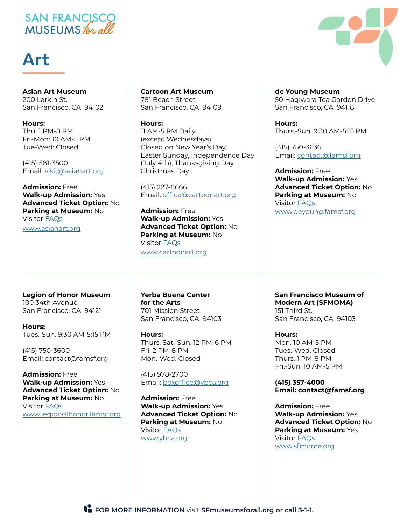## SAN FRANCISCO MUSEUMS for all

# **Art**

**Asian Art Museum** 200 Larkin St. San Francisco, CA 94102

**Hours:** Thu: 1 PM-8 PM Fri-Mon: 10 AM-5 PM Tue-Wed: Closed

(415) 581-3500 Email: visit@asianart.org

**Admission:** Free **Walk-up Admission:** Yes **Advanced Ticket Option:** No **Parking at Museum:** No Visitor FAQs www.asianart.org

#### **Cartoon Art Museum** 781 Beach Street San Francisco, CA 94109

**Hours:** 11 AM-5 PM Daily (except Wednesdays) Closed on New Year's Day, Easter Sunday, Independence Day (July 4th), Thanksgiving Day, Christmas Day

(415) 227-8666 Email: office@cartoonart.org

**Admission:** Free **Walk-up Admission:** Yes **Advanced Ticket Option:** No **Parking at Museum:** No Visitor FAQs www.cartoonart.org

**Legion of Honor Museum** 100 34th Avenue San Francisco, CA 94121

**Hours:** Tues.-Sun. 9:30 AM-5:15 PM

(415) 750-3600 Email: contact@famsf.org

**Admission:** Free **Walk-up Admission:** Yes **Advanced Ticket Option:** No **Parking at Museum:** No Visitor FAQs www.legionofhonor.famsf.org **Yerba Buena Center for the Arts** 701 Mission Street San Francisco, CA 94103

**Hours:** Thurs. Sat.-Sun. 12 PM-6 PM Fri. 2 PM-8 PM Mon.-Wed. Closed

(415) 978-2700 Email: boxoffice@ybca.org

**Admission:** Free **Walk-up Admission:** Yes **Advanced Ticket Option:** No **Parking at Museum:** No Visitor FAQs www.ybca.org

**de Young Museum** 50 Hagiwara Tea Garden Drive San Francisco, CA 94118

**Hours:** Thurs.-Sun. 9:30 AM-5:15 PM

(415) 750-3636 Email: contact@famsf.org

**Admission:** Free **Walk-up Admission:** Yes **Advanced Ticket Option:** No **Parking at Museum:** No Visitor FAQs www.deyoung.famsf.org

**San Francisco Museum of Modern Art (SFMOMA)** 151 Third St. San Francisco, CA 94103

**Hours:** Mon. 10 AM-5 PM Tues.-Wed. Closed Thurs. 1 PM-8 PM Fri.-Sun. 10 AM-5 PM

**(415) 357-4000 Email: contact@famsf.org**

**Admission:** Free **Walk-up Admission:** Yes **Advanced Ticket Option:** No **Parking at Museum:** Yes Visitor FAQs www.sfmoma.org

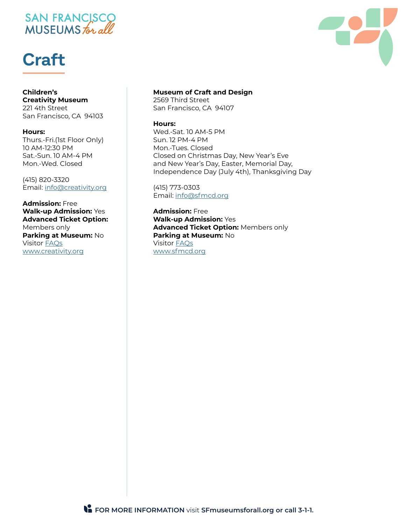# SAN FRANCISCO<br>MUSEUMS for all

# **Craft**

#### **Children's Creativity Museum**

221 4th Street San Francisco, CA 94103

#### **Hours:**

Thurs.-Fri.(1st Floor Only) 10 AM-12:30 PM Sat.-Sun. 10 AM-4 PM Mon.-Wed. Closed

(415) 820-3320 Email: info@creativity.org

#### **Admission:** Free **Walk-up Admission:** Yes **Advanced Ticket Option:** Members only **Parking at Museum:** No Visitor FAQs www.creativity.org

#### **Museum of Craft and Design**

2569 Third Street San Francisco, CA 94107

#### **Hours:**

Wed.-Sat. 10 AM-5 PM Sun. 12 PM-4 PM Mon.-Tues. Closed Closed on Christmas Day, New Year's Eve and New Year's Day, Easter, Memorial Day, Independence Day (July 4th), Thanksgiving Day

(415) 773-0303 Email: info@sfmcd.org

**Admission:** Free **Walk-up Admission:** Yes **Advanced Ticket Option:** Members only **Parking at Museum:** No Visitor FAQs www.sfmcd.org

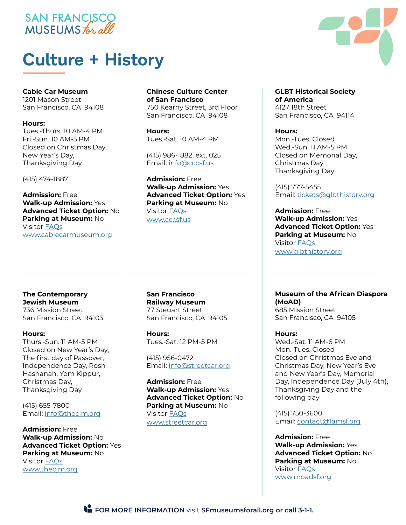### SAN FRANCISCO MUSEUMS for all

# **Culture + History**

#### **Cable Car Museum**

1201 Mason Street San Francisco, CA 94108

#### **Hours:**

Tues.-Thurs. 10 AM-4 PM Fri.-Sun. 10 AM-5 PM Closed on Christmas Day, New Year's Day, Thanksgiving Day

(415) 474-1887

**Admission:** Free **Walk-up Admission:** Yes **Advanced Ticket Option:** No **Parking at Museum:** No Visitor FAQs www.cablecarmuseum.org

#### **The Contemporary Jewish Museum** 736 Mission Street

San Francisco, CA 94103

#### **Hours:**

Thurs.-Sun. 11 AM-5 PM Closed on New Year's Day, The first day of Passover, Independence Day, Rosh Hashanah, Yom Kippur, Christmas Day, Thanksgiving Day

(415) 655-7800 Email: info@thecjm.org

**Admission:** Free **Walk-up Admission:** No **Advanced Ticket Option:** Yes **Parking at Museum:** No Visitor FAQs www.thecjm.org

#### **Chinese Culture Center of San Francisco**

750 Kearny Street, 3rd Floor San Francisco, CA 94108

**Hours:** Tues.-Sat. 10 AM-4 PM

(415) 986-1882, ext. 025 Email: info@cccsf.us

**Admission:** Free **Walk-up Admission:** Yes **Advanced Ticket Option:** Yes **Parking at Museum:** No Visitor FAQs www.cccsf.us

**San Francisco Railway Museum** 77 Steuart Street San Francisco, CA 94105

**Hours:** Tues.-Sat. 12 PM-5 PM

(415) 956-0472 Email: info@streetcar.org

**Admission:** Free **Walk-up Admission:** Yes **Advanced Ticket Option:** No **Parking at Museum:** No Visitor FAQs www.streetcar.org

**GLBT Historical Society of America** 4127 18th Street San Francisco, CA 94114

**Hours:** Mon.-Tues. Closed Wed.-Sun. 11 AM-5 PM Closed on Memorial Day, Christmas Day, Thanksgiving Day

(415) 777-5455 Email: tickets@glbthistory.org

**Admission:** Free **Walk-up Admission:** Yes **Advanced Ticket Option:** Yes **Parking at Museum:** No Visitor FAQs www.glbthistory.org

**Museum of the African Diaspora (MoAD)** 685 Mission Street San Francisco, CA 94105

**Hours:** Wed.-Sat. 11 AM-6 PM Mon.-Tues. Closed Closed on Christmas Eve and Christmas Day, New Year's Eve and New Year's Day, Memorial Day, Independence Day (July 4th), Thanksgiving Day and the following day

(415) 750-3600 Email: contact@famsf.org

**Admission:** Free **Walk-up Admission:** Yes **Advanced Ticket Option:** No **Parking at Museum:** No Visitor FAQs www.moadsf.org

**FOR MORE INFORMATION** visit **SFmuseumsforall.org or call 3-1-1.**